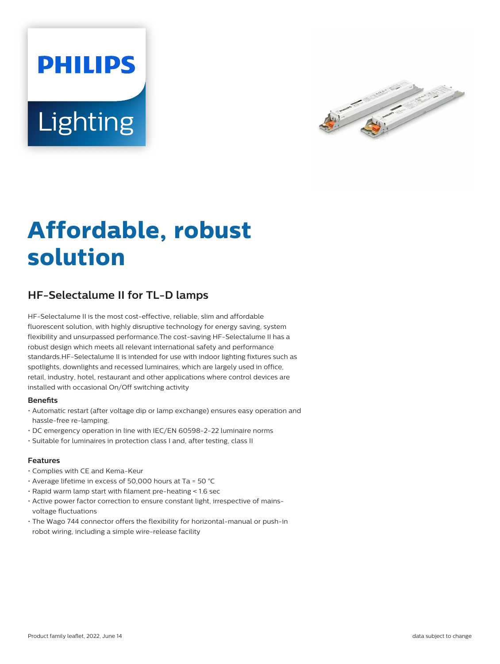# **PHILIPS** Lighting



## **Affordable, robust solution**

### **HF-Selectalume II for TL-D lamps**

HF-Selectalume II is the most cost-effective, reliable, slim and affordable fluorescent solution, with highly disruptive technology for energy saving, system flexibility and unsurpassed performance.The cost-saving HF-Selectalume II has a robust design which meets all relevant international safety and performance standards.HF-Selectalume II is intended for use with indoor lighting fixtures such as spotlights, downlights and recessed luminaires, which are largely used in office, retail, industry, hotel, restaurant and other applications where control devices are installed with occasional On/Off switching activity

#### **Benefits**

- Automatic restart (after voltage dip or lamp exchange) ensures easy operation and hassle-free re-lamping.
- DC emergency operation in line with IEC/EN 60598-2-22 luminaire norms
- Suitable for luminaires in protection class I and, after testing, class II

#### **Features**

- Complies with CE and Kema-Keur
- Average lifetime in excess of 50,000 hours at Ta = 50 °C
- Rapid warm lamp start with filament pre-heating < 1.6 sec
- Active power factor correction to ensure constant light, irrespective of mainsvoltage fluctuations
- The Wago 744 connector offers the flexibility for horizontal-manual or push-in robot wiring, including a simple wire-release facility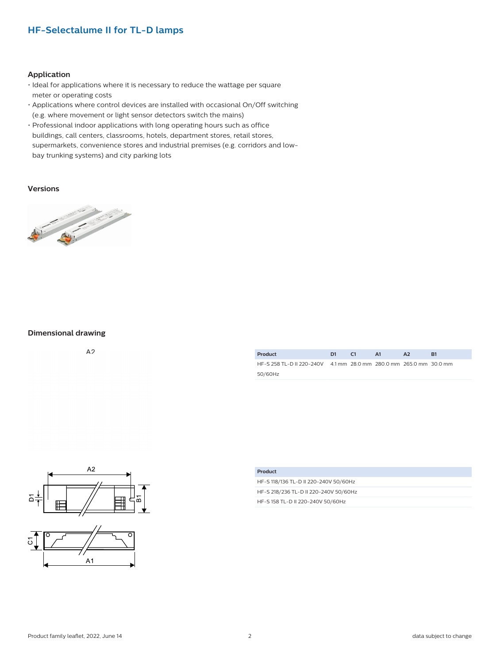#### **HF-Selectalume II for TL-D lamps**

#### **Application**

- Ideal for applications where it is necessary to reduce the wattage per square meter or operating costs
- Applications where control devices are installed with occasional On/Off switching (e.g. where movement or light sensor detectors switch the mains)
- Professional indoor applications with long operating hours such as office buildings, call centers, classrooms, hotels, department stores, retail stores, supermarkets, convenience stores and industrial premises (e.g. corridors and lowbay trunking systems) and city parking lots

#### **Versions**



#### **Dimensional drawing**

 $A<sub>2</sub>$ 

| Product                                                           | D1. | - 61 | - A1 | A <sub>2</sub> | R1 |
|-------------------------------------------------------------------|-----|------|------|----------------|----|
| HF-S 258 TL-D II 220-240V 41 mm 28.0 mm 280.0 mm 265.0 mm 30.0 mm |     |      |      |                |    |
| 50/60Hz                                                           |     |      |      |                |    |



| Product                               |
|---------------------------------------|
| HF-S 118/136 TL-D II 220-240V 50/60Hz |
| HF-S 218/236 TL-D II 220-240V 50/60Hz |
| HF-S 158 TL-D II 220-240V 50/60Hz     |